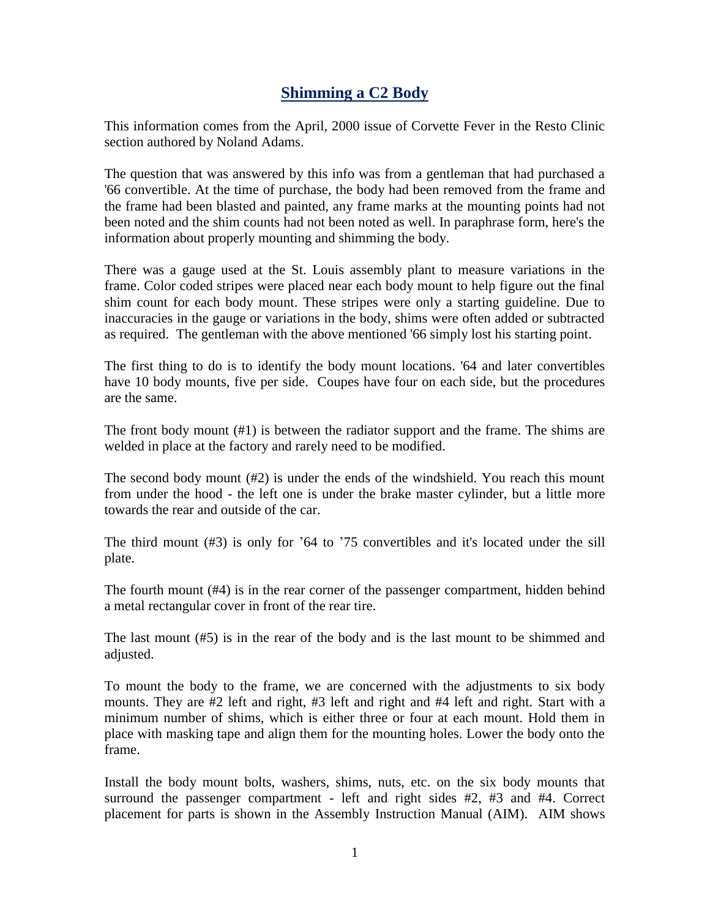## **Shimming a C2 Body**

This information comes from the April, 2000 issue of Corvette Fever in the Resto Clinic section authored by Noland Adams.

The question that was answered by this info was from a gentleman that had purchased a '66 convertible. At the time of purchase, the body had been removed from the frame and the frame had been blasted and painted, any frame marks at the mounting points had not been noted and the shim counts had not been noted as well. In paraphrase form, here's the information about properly mounting and shimming the body.

There was a gauge used at the St. Louis assembly plant to measure variations in the frame. Color coded stripes were placed near each body mount to help figure out the final shim count for each body mount. These stripes were only a starting guideline. Due to inaccuracies in the gauge or variations in the body, shims were often added or subtracted as required. The gentleman with the above mentioned '66 simply lost his starting point.

The first thing to do is to identify the body mount locations. '64 and later convertibles have 10 body mounts, five per side. Coupes have four on each side, but the procedures are the same.

The front body mount (#1) is between the radiator support and the frame. The shims are welded in place at the factory and rarely need to be modified.

The second body mount (#2) is under the ends of the windshield. You reach this mount from under the hood - the left one is under the brake master cylinder, but a little more towards the rear and outside of the car.

The third mount (#3) is only for '64 to '75 convertibles and it's located under the sill plate.

The fourth mount (#4) is in the rear corner of the passenger compartment, hidden behind a metal rectangular cover in front of the rear tire.

The last mount (#5) is in the rear of the body and is the last mount to be shimmed and adjusted.

To mount the body to the frame, we are concerned with the adjustments to six body mounts. They are #2 left and right, #3 left and right and #4 left and right. Start with a minimum number of shims, which is either three or four at each mount. Hold them in place with masking tape and align them for the mounting holes. Lower the body onto the frame.

Install the body mount bolts, washers, shims, nuts, etc. on the six body mounts that surround the passenger compartment - left and right sides #2, #3 and #4. Correct placement for parts is shown in the Assembly Instruction Manual (AIM). AIM shows